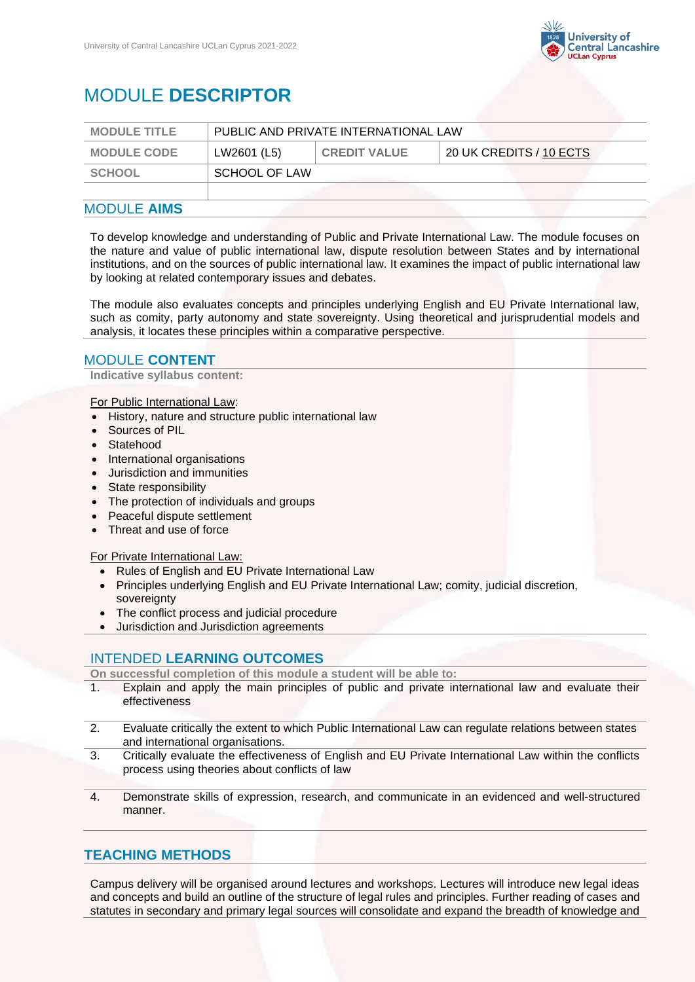

# MODULE **DESCRIPTOR**

| <b>MODULE TITLE</b> | PUBLIC AND PRIVATE INTERNATIONAL LAW |                     |                         |
|---------------------|--------------------------------------|---------------------|-------------------------|
| <b>MODULE CODE</b>  | LW2601 (L5)                          | <b>CREDIT VALUE</b> | 20 UK CREDITS / 10 ECTS |
| SCHOOL              | SCHOOL OF LAW                        |                     |                         |
|                     |                                      |                     |                         |

#### MODULE **AIMS**

To develop knowledge and understanding of Public and Private International Law. The module focuses on the nature and value of public international law, dispute resolution between States and by international institutions, and on the sources of public international law. It examines the impact of public international law by looking at related contemporary issues and debates.

The module also evaluates concepts and principles underlying English and EU Private International law, such as comity, party autonomy and state sovereignty. Using theoretical and jurisprudential models and analysis, it locates these principles within a comparative perspective.

#### MODULE **CONTENT**

**Indicative syllabus content:**

For Public International Law:

- History, nature and structure public international law
- Sources of PIL
- **Statehood**
- International organisations
- Jurisdiction and immunities
- State responsibility
- The protection of individuals and groups
- Peaceful dispute settlement
- Threat and use of force

For Private International Law:

- Rules of English and EU Private International Law
- Principles underlying English and EU Private International Law; comity, judicial discretion, sovereignty
- The conflict process and judicial procedure
- Jurisdiction and Jurisdiction agreements

### INTENDED **LEARNING OUTCOMES**

**On successful completion of this module a student will be able to:**

- 1. Explain and apply the main principles of public and private international law and evaluate their effectiveness
- 2. Evaluate critically the extent to which Public International Law can regulate relations between states and international organisations.
- 3. Critically evaluate the effectiveness of English and EU Private International Law within the conflicts process using theories about conflicts of law
- 4. Demonstrate skills of expression, research, and communicate in an evidenced and well-structured manner.

## **TEACHING METHODS**

Campus delivery will be organised around lectures and workshops. Lectures will introduce new legal ideas and concepts and build an outline of the structure of legal rules and principles. Further reading of cases and statutes in secondary and primary legal sources will consolidate and expand the breadth of knowledge and